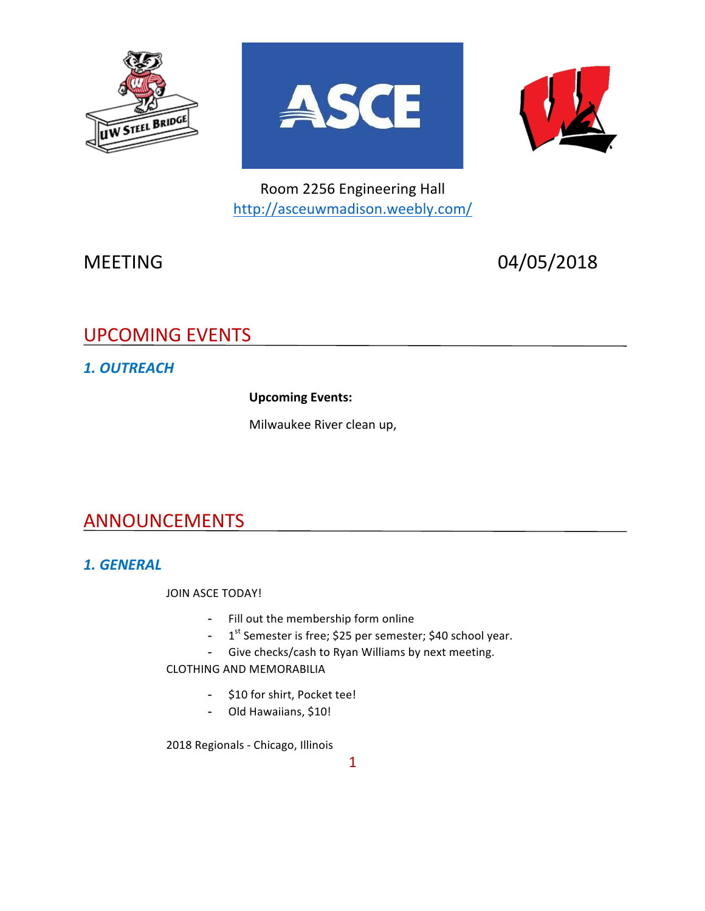





Room 2256 Engineering Hall http://asceuwmadison.weebly.com/

MEETING 04/05/2018

# UPCOMING EVENTS

## *1. OUTREACH*

**Upcoming Events:** 

Milwaukee River clean up,

## ANNOUNCEMENTS

### *1. GENERAL*

JOIN ASCE TODAY!

- Fill out the membership form online
- $1<sup>st</sup>$  Semester is free; \$25 per semester; \$40 school year.
- Give checks/cash to Ryan Williams by next meeting.

CLOTHING AND MEMORABILIA

- \$10 for shirt, Pocket tee!
- Old Hawaiians, \$10!

2018 Regionals - Chicago, Illinois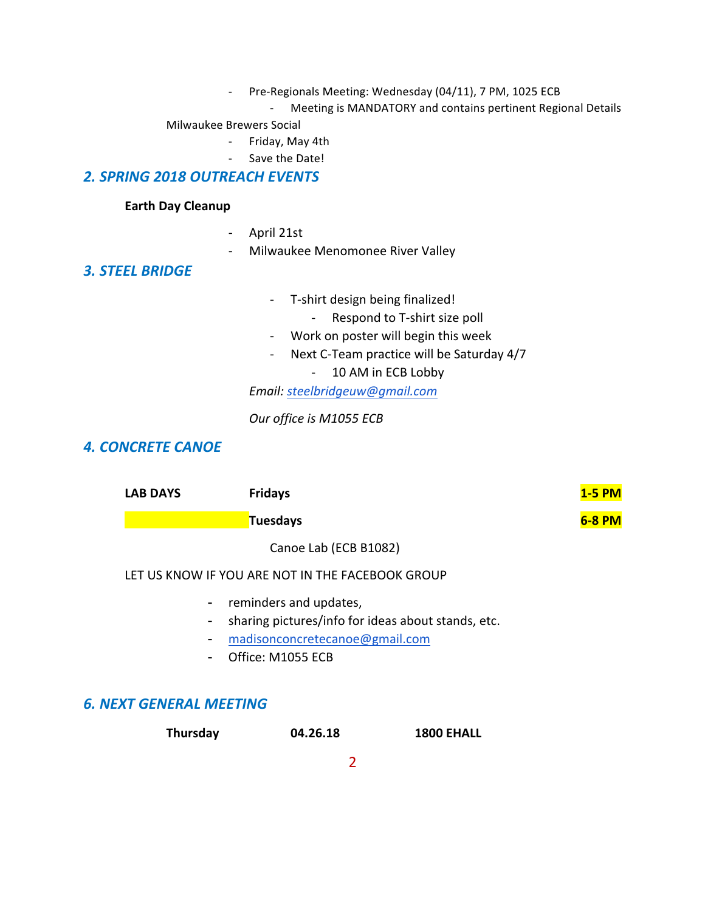- Pre-Regionals Meeting: Wednesday (04/11), 7 PM, 1025 ECB
	- Meeting is MANDATORY and contains pertinent Regional Details

#### Milwaukee Brewers Social

- Friday, May 4th
	- Save the Date!

#### *2. SPRING 2018 OUTREACH EVENTS*

#### **Earth Day Cleanup**

- April 21st
- Milwaukee Menomonee River Valley

#### *3. STEEL BRIDGE*

- T-shirt design being finalized!
	- Respond to T-shirt size poll
- Work on poster will begin this week
- Next C-Team practice will be Saturday 4/7
	- 10 AM in ECB Lobby

*Email: steelbridgeuw@gmail.com*

*Our office is M1055 ECB*

#### **4. CONCRETE CANOE**

| <b>LAB DAYS</b>                                  | <b>Fridays</b>           | <b>1-5 PM</b> |
|--------------------------------------------------|--------------------------|---------------|
|                                                  | Tuesdays                 | 6-8 PM        |
|                                                  | Canoe Lab (ECB B1082)    |               |
| LET US KNOW IF YOU ARE NOT IN THE FACEBOOK GROUP |                          |               |
|                                                  | - reminders and updates, |               |

- sharing pictures/info for ideas about stands, etc.
- madisonconcretecanoe@gmail.com
- Office: M1055 ECB

#### *6. NEXT GENERAL MEETING*

| Thursday | 04.26.18 | <b>1800 EHALL</b> |
|----------|----------|-------------------|
|          |          |                   |